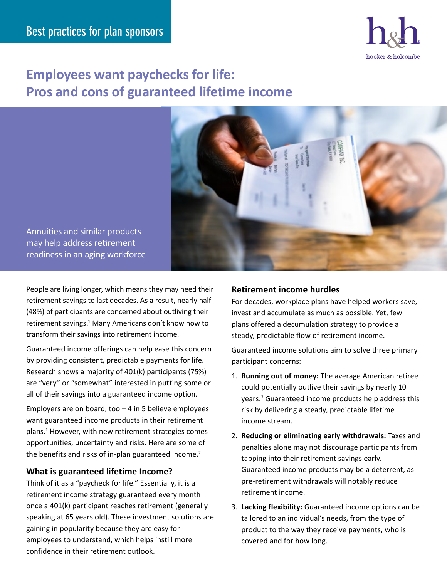

# **Employees want paychecks for life: Pros and cons of guaranteed lifetime income**



Annuities and similar products may help address retirement readiness in an aging workforce

People are living longer, which means they may need their retirement savings to last decades. As a result, nearly half (48%) of participants are concerned about outliving their retirement savings.<sup>1</sup> Many Americans don't know how to transform their savings into retirement income.

Guaranteed income offerings can help ease this concern by providing consistent, predictable payments for life. Research shows a majority of 401(k) participants (75%) are "very" or "somewhat" interested in putting some or all of their savings into a guaranteed income option.

Employers are on board, too  $-4$  in 5 believe employees want guaranteed income products in their retirement plans.1 However, with new retirement strategies comes opportunities, uncertainty and risks. Here are some of the benefits and risks of in-plan guaranteed income.<sup>2</sup>

## **What is guaranteed lifetime Income?**

Think of it as a "paycheck for life." Essentially, it is a retirement income strategy guaranteed every month once a 401(k) participant reaches retirement (generally speaking at 65 years old). These investment solutions are gaining in popularity because they are easy for employees to understand, which helps instill more confidence in their retirement outlook.

# **Retirement income hurdles**

For decades, workplace plans have helped workers save, invest and accumulate as much as possible. Yet, few plans offered a decumulation strategy to provide a steady, predictable flow of retirement income.

Guaranteed income solutions aim to solve three primary participant concerns:

- 1. **Running out of money:** The average American retiree could potentially outlive their savings by nearly 10 years.<sup>3</sup> Guaranteed income products help address this risk by delivering a steady, predictable lifetime income stream.
- 2. **Reducing or eliminating early withdrawals:** Taxes and penalties alone may not discourage participants from tapping into their retirement savings early. Guaranteed income products may be a deterrent, as pre-retirement withdrawals will notably reduce retirement income.
- 3. **Lacking flexibility:** Guaranteed income options can be tailored to an individual's needs, from the type of product to the way they receive payments, who is covered and for how long.